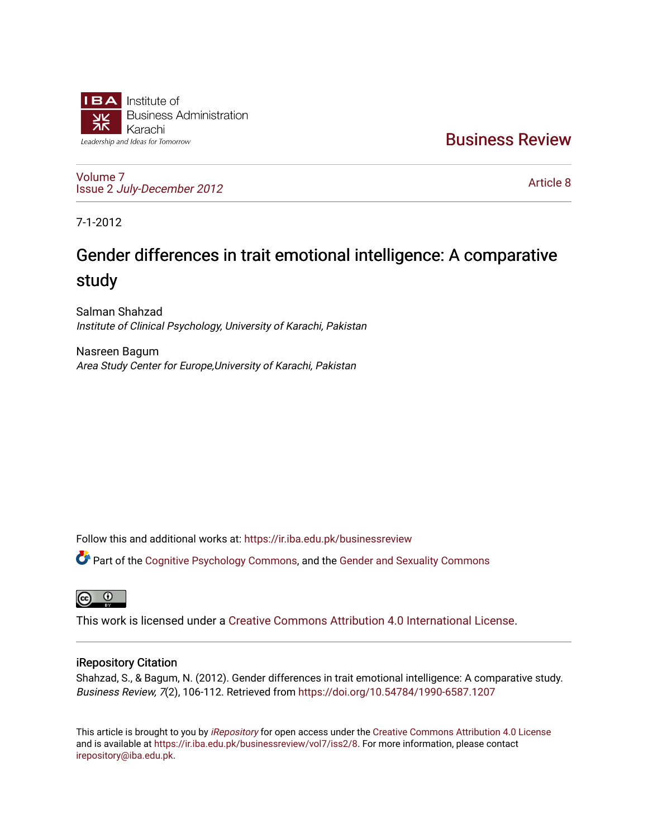

[Business Review](https://ir.iba.edu.pk/businessreview) 

[Volume 7](https://ir.iba.edu.pk/businessreview/vol7) Issue 2 [July-December 2012](https://ir.iba.edu.pk/businessreview/vol7/iss2)

[Article 8](https://ir.iba.edu.pk/businessreview/vol7/iss2/8) 

7-1-2012

# Gender differences in trait emotional intelligence: A comparative study

Salman Shahzad Institute of Clinical Psychology, University of Karachi, Pakistan

Nasreen Bagum Area Study Center for Europe,University of Karachi, Pakistan

Follow this and additional works at: [https://ir.iba.edu.pk/businessreview](https://ir.iba.edu.pk/businessreview?utm_source=ir.iba.edu.pk%2Fbusinessreview%2Fvol7%2Fiss2%2F8&utm_medium=PDF&utm_campaign=PDFCoverPages) 

Part of the [Cognitive Psychology Commons,](http://network.bepress.com/hgg/discipline/408?utm_source=ir.iba.edu.pk%2Fbusinessreview%2Fvol7%2Fiss2%2F8&utm_medium=PDF&utm_campaign=PDFCoverPages) and the [Gender and Sexuality Commons](http://network.bepress.com/hgg/discipline/420?utm_source=ir.iba.edu.pk%2Fbusinessreview%2Fvol7%2Fiss2%2F8&utm_medium=PDF&utm_campaign=PDFCoverPages) 

 $\overline{a}$ 

This work is licensed under a [Creative Commons Attribution 4.0 International License](https://creativecommons.org/licenses/by/4.0/).

## iRepository Citation

Shahzad, S., & Bagum, N. (2012). Gender differences in trait emotional intelligence: A comparative study. Business Review, 7(2), 106-112. Retrieved from<https://doi.org/10.54784/1990-6587.1207>

This article is brought to you by [iRepository](https://ir.iba.edu.pk/) for open access under the Creative Commons Attribution 4.0 License and is available at [https://ir.iba.edu.pk/businessreview/vol7/iss2/8.](https://ir.iba.edu.pk/businessreview/vol7/iss2/8) For more information, please contact [irepository@iba.edu.pk.](mailto:irepository@iba.edu.pk)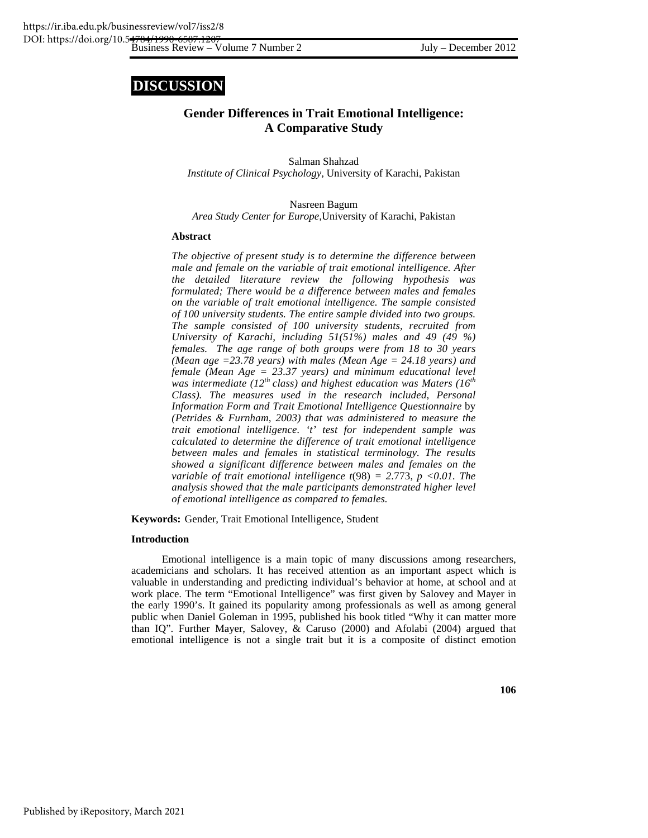# **DISCUSSION**

### **Gender Differences in Trait Emotional Intelligence: A Comparative Study**

Salman Shahzad *Institute of Clinical Psychology,* University of Karachi, Pakistan

Nasreen Bagum *Area Study Center for Europe,*University of Karachi, Pakistan

#### **Abstract**

*The objective of present study is to determine the difference between male and female on the variable of trait emotional intelligence. After the detailed literature review the following hypothesis was formulated; There would be a difference between males and females on the variable of trait emotional intelligence. The sample consisted of 100 university students. The entire sample divided into two groups. The sample consisted of 100 university students, recruited from University of Karachi, including 51(51%) males and 49 (49 %) females. The age range of both groups were from 18 to 30 years (Mean age =23.78 years) with males (Mean Age = 24.18 years) and female (Mean Age = 23.37 years) and minimum educational level*  was intermediate (12<sup>th</sup> class) and highest education was Maters (16<sup>th</sup>) *Class). The measures used in the research included, Personal Information Form and Trait Emotional Intelligence Questionnaire* by *(Petrides & Furnham, 2003) that was administered to measure the trait emotional intelligence. 't' test for independent sample was calculated to determine the difference of trait emotional intelligence between males and females in statistical terminology. The results showed a significant difference between males and females on the variable of trait emotional intelligence t*(98) *= 2*.773, *p <0.01. The analysis showed that the male participants demonstrated higher level of emotional intelligence as compared to females.* 

**Keywords:** Gender, Trait Emotional Intelligence, Student

#### **Introduction**

Emotional intelligence is a main topic of many discussions among researchers, academicians and scholars. It has received attention as an important aspect which is valuable in understanding and predicting individual's behavior at home, at school and at work place. The term "Emotional Intelligence" was first given by Salovey and Mayer in the early 1990's. It gained its popularity among professionals as well as among general public when Daniel Goleman in 1995, published his book titled "Why it can matter more than IQ". Further Mayer, Salovey, & Caruso (2000) and Afolabi (2004) argued that emotional intelligence is not a single trait but it is a composite of distinct emotion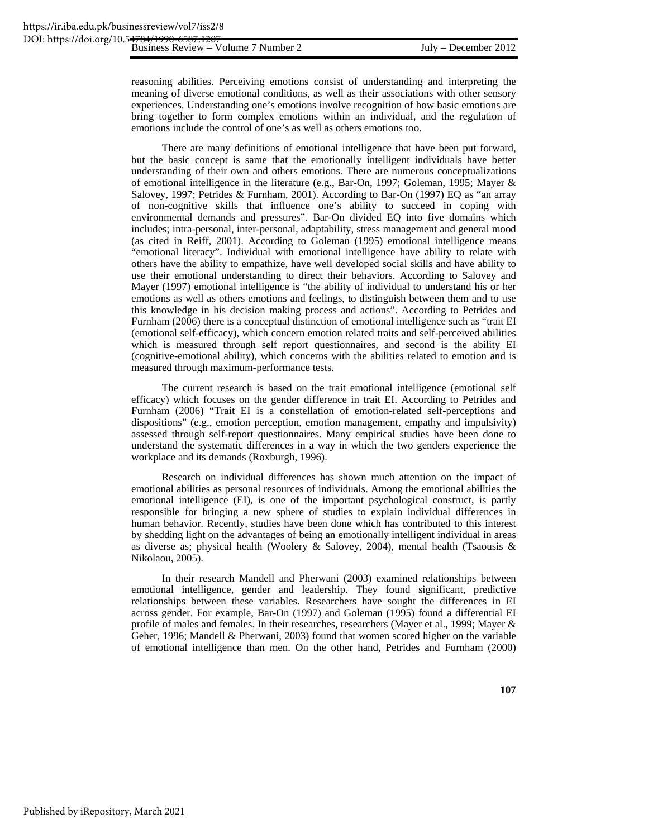reasoning abilities. Perceiving emotions consist of understanding and interpreting the meaning of diverse emotional conditions, as well as their associations with other sensory experiences. Understanding one's emotions involve recognition of how basic emotions are bring together to form complex emotions within an individual, and the regulation of emotions include the control of one's as well as others emotions too.

There are many definitions of emotional intelligence that have been put forward, but the basic concept is same that the emotionally intelligent individuals have better understanding of their own and others emotions. There are numerous conceptualizations of emotional intelligence in the literature (e.g., Bar-On, 1997; Goleman, 1995; Mayer & Salovey, 1997; Petrides & Furnham, 2001). According to Bar-On (1997) EQ as "an array of non-cognitive skills that influence one's ability to succeed in coping with environmental demands and pressures". Bar-On divided EQ into five domains which includes; intra-personal, inter-personal, adaptability, stress management and general mood (as cited in Reiff, 2001). According to Goleman (1995) emotional intelligence means "emotional literacy". Individual with emotional intelligence have ability to relate with others have the ability to empathize, have well developed social skills and have ability to use their emotional understanding to direct their behaviors. According to Salovey and Mayer (1997) emotional intelligence is "the ability of individual to understand his or her emotions as well as others emotions and feelings, to distinguish between them and to use this knowledge in his decision making process and actions". According to Petrides and Furnham (2006) there is a conceptual distinction of emotional intelligence such as "trait EI (emotional self-efficacy), which concern emotion related traits and self-perceived abilities which is measured through self report questionnaires, and second is the ability EI (cognitive-emotional ability), which concerns with the abilities related to emotion and is measured through maximum-performance tests.

The current research is based on the trait emotional intelligence (emotional self efficacy) which focuses on the gender difference in trait EI. According to Petrides and Furnham (2006) "Trait EI is a constellation of emotion-related self-perceptions and dispositions" (e.g., emotion perception, emotion management, empathy and impulsivity) assessed through self-report questionnaires. Many empirical studies have been done to understand the systematic differences in a way in which the two genders experience the workplace and its demands (Roxburgh, 1996).

Research on individual differences has shown much attention on the impact of emotional abilities as personal resources of individuals. Among the emotional abilities the emotional intelligence (EI), is one of the important psychological construct, is partly responsible for bringing a new sphere of studies to explain individual differences in human behavior. Recently, studies have been done which has contributed to this interest by shedding light on the advantages of being an emotionally intelligent individual in areas as diverse as; physical health (Woolery & Salovey, 2004), mental health (Tsaousis & Nikolaou, 2005).

In their research Mandell and Pherwani (2003) examined relationships between emotional intelligence, gender and leadership. They found significant, predictive relationships between these variables. Researchers have sought the differences in EI across gender. For example, Bar-On (1997) and Goleman (1995) found a differential EI profile of males and females. In their researches, researchers (Mayer et al., 1999; Mayer & Geher, 1996; Mandell & Pherwani, 2003) found that women scored higher on the variable of emotional intelligence than men. On the other hand, Petrides and Furnham (2000)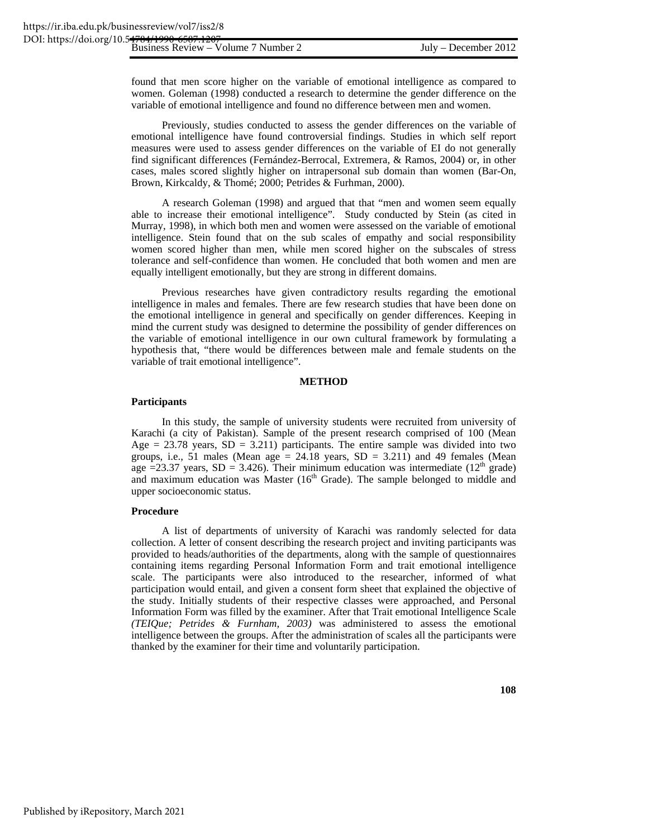found that men score higher on the variable of emotional intelligence as compared to women. Goleman (1998) conducted a research to determine the gender difference on the variable of emotional intelligence and found no difference between men and women.

Previously, studies conducted to assess the gender differences on the variable of emotional intelligence have found controversial findings. Studies in which self report measures were used to assess gender differences on the variable of EI do not generally find significant differences (Fernández-Berrocal, Extremera, & Ramos, 2004) or, in other cases, males scored slightly higher on intrapersonal sub domain than women (Bar-On, Brown, Kirkcaldy, & Thomé; 2000; Petrides & Furhman, 2000).

A research Goleman (1998) and argued that that "men and women seem equally able to increase their emotional intelligence". Study conducted by Stein (as cited in Murray, 1998), in which both men and women were assessed on the variable of emotional intelligence. Stein found that on the sub scales of empathy and social responsibility women scored higher than men, while men scored higher on the subscales of stress tolerance and self-confidence than women. He concluded that both women and men are equally intelligent emotionally, but they are strong in different domains.

Previous researches have given contradictory results regarding the emotional intelligence in males and females. There are few research studies that have been done on the emotional intelligence in general and specifically on gender differences. Keeping in mind the current study was designed to determine the possibility of gender differences on the variable of emotional intelligence in our own cultural framework by formulating a hypothesis that, "there would be differences between male and female students on the variable of trait emotional intelligence".

#### **METHOD**

#### **Participants**

In this study, the sample of university students were recruited from university of Karachi (a city of Pakistan). Sample of the present research comprised of 100 (Mean Age  $= 23.78$  years,  $SD = 3.211$ ) participants. The entire sample was divided into two groups, i.e., 51 males (Mean age  $= 24.18$  years, SD  $= 3.211$ ) and 49 females (Mean age =23.37 years, SD = 3.426). Their minimum education was intermediate ( $12<sup>th</sup>$  grade) and maximum education was Master  $(16<sup>th</sup> Grade)$ . The sample belonged to middle and upper socioeconomic status.

#### **Procedure**

A list of departments of university of Karachi was randomly selected for data collection. A letter of consent describing the research project and inviting participants was provided to heads/authorities of the departments, along with the sample of questionnaires containing items regarding Personal Information Form and trait emotional intelligence scale. The participants were also introduced to the researcher, informed of what participation would entail, and given a consent form sheet that explained the objective of the study. Initially students of their respective classes were approached, and Personal Information Form was filled by the examiner. After that Trait emotional Intelligence Scale *(TEIQue; Petrides & Furnham, 2003)* was administered to assess the emotional intelligence between the groups. After the administration of scales all the participants were thanked by the examiner for their time and voluntarily participation.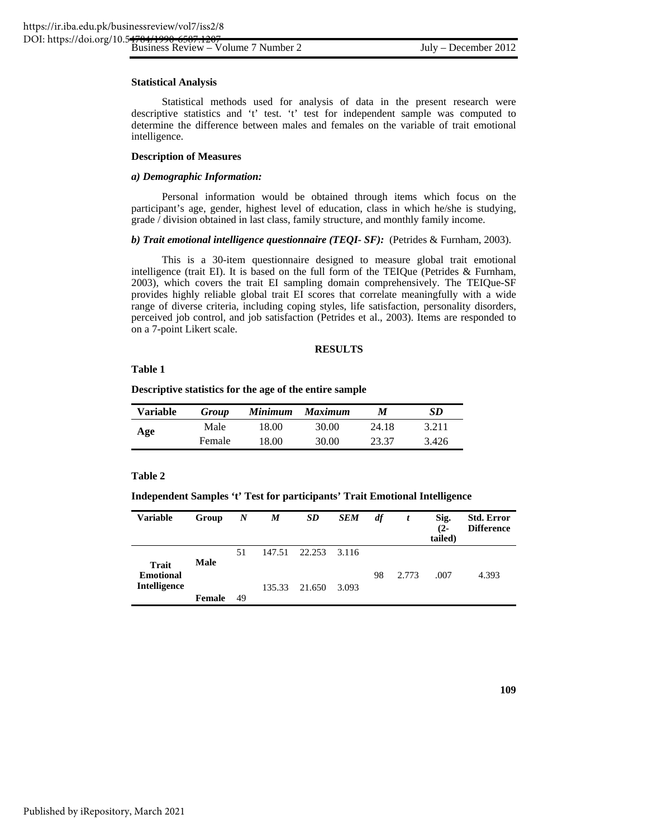#### **Statistical Analysis**

Statistical methods used for analysis of data in the present research were descriptive statistics and 't' test. 't' test for independent sample was computed to determine the difference between males and females on the variable of trait emotional intelligence.

#### **Description of Measures**

#### *a) Demographic Information:*

Personal information would be obtained through items which focus on the participant's age, gender, highest level of education, class in which he/she is studying, grade / division obtained in last class, family structure, and monthly family income.

#### *b) Trait emotional intelligence questionnaire (TEQI- SF):* (Petrides & Furnham, 2003).

This is a 30-item questionnaire designed to measure global trait emotional intelligence (trait EI). It is based on the full form of the TEIQue (Petrides & Furnham, 2003), which covers the trait EI sampling domain comprehensively. The TEIQue-SF provides highly reliable global trait EI scores that correlate meaningfully with a wide range of diverse criteria, including coping styles, life satisfaction, personality disorders, perceived job control, and job satisfaction (Petrides et al., 2003). Items are responded to on a 7-point Likert scale.

#### **RESULTS**

#### **Table 1**

#### **Descriptive statistics for the age of the entire sample**

| <b>Variable</b> | Group  | Minimum | <b>Maximum</b> | M     | SD    |
|-----------------|--------|---------|----------------|-------|-------|
| Age             | Male   | 18.00   | 30.00          | 24.18 | 3.211 |
|                 | Female | 18.00   | 30.00          | 23.37 | 3.426 |

#### **Table 2**

#### **Independent Samples 't' Test for participants' Trait Emotional Intelligence**

| <b>Variable</b>                                         | Group       | $\boldsymbol{N}$ | M      | <b>SD</b>           | <b>SEM</b> | df | t     | Sig.<br>$(2 -$<br>tailed) | <b>Std. Error</b><br><b>Difference</b> |
|---------------------------------------------------------|-------------|------------------|--------|---------------------|------------|----|-------|---------------------------|----------------------------------------|
| <b>Trait</b><br><b>Emotional</b><br><b>Intelligence</b> | <b>Male</b> | 51               |        | 147.51 22.253 3.116 |            | 98 | 2.773 | .007                      | 4.393                                  |
|                                                         | Female      | 49               | 135.33 | 21.650              | 3.093      |    |       |                           |                                        |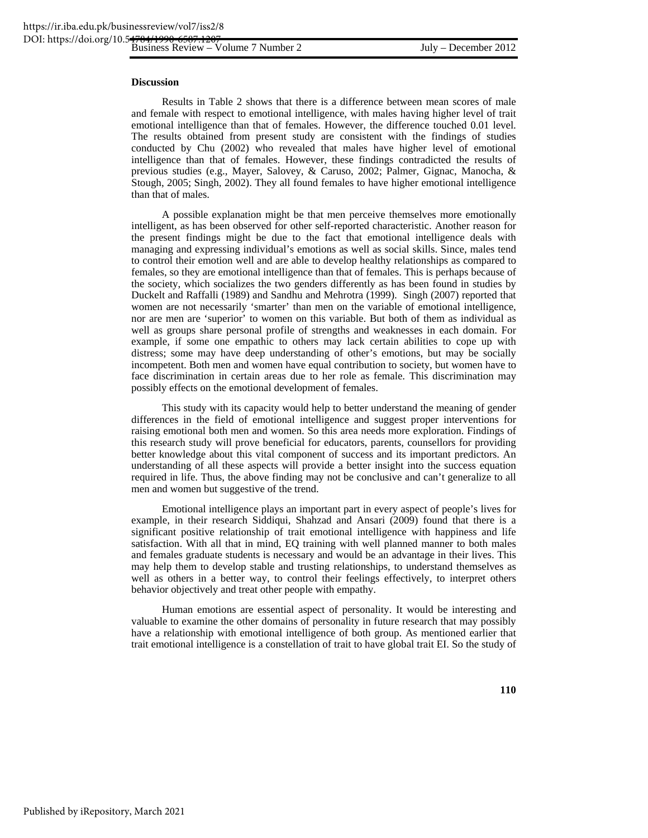#### **Discussion**

Results in Table 2 shows that there is a difference between mean scores of male and female with respect to emotional intelligence, with males having higher level of trait emotional intelligence than that of females. However, the difference touched 0.01 level. The results obtained from present study are consistent with the findings of studies conducted by Chu (2002) who revealed that males have higher level of emotional intelligence than that of females. However, these findings contradicted the results of previous studies (e.g., Mayer, Salovey, & Caruso, 2002; Palmer, Gignac, Manocha, & Stough, 2005; Singh, 2002). They all found females to have higher emotional intelligence than that of males.

A possible explanation might be that men perceive themselves more emotionally intelligent, as has been observed for other self-reported characteristic. Another reason for the present findings might be due to the fact that emotional intelligence deals with managing and expressing individual's emotions as well as social skills. Since, males tend to control their emotion well and are able to develop healthy relationships as compared to females, so they are emotional intelligence than that of females. This is perhaps because of the society, which socializes the two genders differently as has been found in studies by Duckelt and Raffalli (1989) and Sandhu and Mehrotra (1999). Singh (2007) reported that women are not necessarily 'smarter' than men on the variable of emotional intelligence, nor are men are 'superior' to women on this variable. But both of them as individual as well as groups share personal profile of strengths and weaknesses in each domain. For example, if some one empathic to others may lack certain abilities to cope up with distress; some may have deep understanding of other's emotions, but may be socially incompetent. Both men and women have equal contribution to society, but women have to face discrimination in certain areas due to her role as female. This discrimination may possibly effects on the emotional development of females.

This study with its capacity would help to better understand the meaning of gender differences in the field of emotional intelligence and suggest proper interventions for raising emotional both men and women. So this area needs more exploration. Findings of this research study will prove beneficial for educators, parents, counsellors for providing better knowledge about this vital component of success and its important predictors. An understanding of all these aspects will provide a better insight into the success equation required in life. Thus, the above finding may not be conclusive and can't generalize to all men and women but suggestive of the trend.

Emotional intelligence plays an important part in every aspect of people's lives for example, in their research Siddiqui, Shahzad and Ansari (2009) found that there is a significant positive relationship of trait emotional intelligence with happiness and life satisfaction. With all that in mind, EQ training with well planned manner to both males and females graduate students is necessary and would be an advantage in their lives. This may help them to develop stable and trusting relationships, to understand themselves as well as others in a better way, to control their feelings effectively, to interpret others behavior objectively and treat other people with empathy.

Human emotions are essential aspect of personality. It would be interesting and valuable to examine the other domains of personality in future research that may possibly have a relationship with emotional intelligence of both group. As mentioned earlier that trait emotional intelligence is a constellation of trait to have global trait EI. So the study of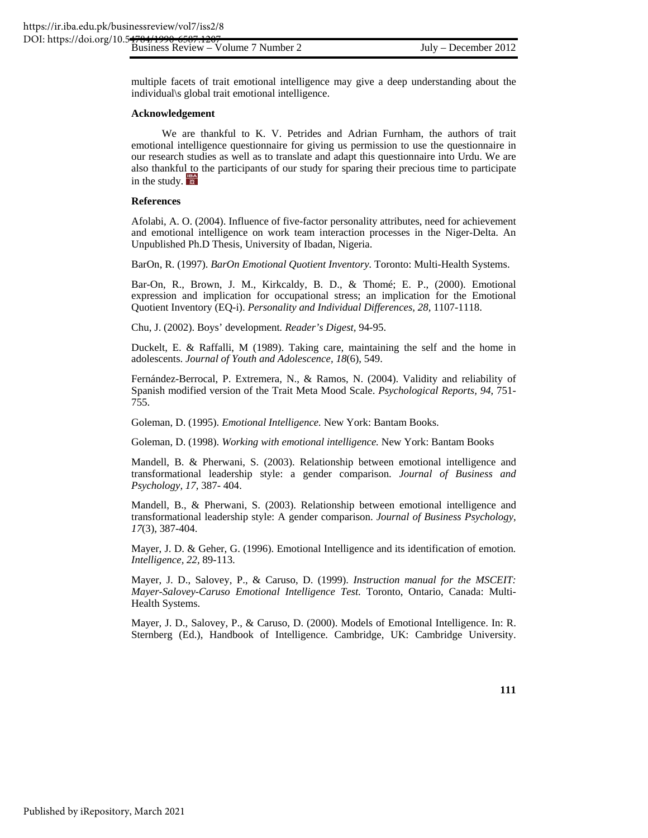multiple facets of trait emotional intelligence may give a deep understanding about the individual\s global trait emotional intelligence.

#### **Acknowledgement**

We are thankful to K. V. Petrides and Adrian Furnham, the authors of trait emotional intelligence questionnaire for giving us permission to use the questionnaire in our research studies as well as to translate and adapt this questionnaire into Urdu. We are also thankful to the participants of our study for sparing their precious time to participate in the study.

#### **References**

Afolabi, A. O. (2004). Influence of five-factor personality attributes, need for achievement and emotional intelligence on work team interaction processes in the Niger-Delta. An Unpublished Ph.D Thesis, University of Ibadan, Nigeria.

BarOn, R. (1997). *BarOn Emotional Quotient Inventory.* Toronto: Multi-Health Systems.

Bar-On, R., Brown, J. M., Kirkcaldy, B. D., & Thomé; E. P., (2000). Emotional expression and implication for occupational stress; an implication for the Emotional Quotient Inventory (EQ-i). *Personality and Individual Differences, 28,* 1107-1118.

Chu, J. (2002). Boys' development*. Reader's Digest,* 94-95.

Duckelt, E. & Raffalli, M (1989). Taking care, maintaining the self and the home in adolescents. *Journal of Youth and Adolescence, 18*(6), 549.

Fernández-Berrocal, P. Extremera, N., & Ramos, N. (2004). Validity and reliability of Spanish modified version of the Trait Meta Mood Scale. *Psychological Reports, 94*, 751- 755.

Goleman, D. (1995). *Emotional Intelligence.* New York: Bantam Books.

Goleman, D. (1998). *Working with emotional intelligence.* New York: Bantam Books

Mandell, B. & Pherwani, S. (2003). Relationship between emotional intelligence and transformational leadership style: a gender comparison. *Journal of Business and Psychology, 17,* 387- 404.

Mandell, B., & Pherwani, S. (2003). Relationship between emotional intelligence and transformational leadership style: A gender comparison. *Journal of Business Psychology*, *17*(3), 387-404.

Mayer, J. D. & Geher, G. (1996). Emotional Intelligence and its identification of emotion*. Intelligence, 22,* 89-113.

Mayer, J. D., Salovey, P., & Caruso, D. (1999). *Instruction manual for the MSCEIT: Mayer-Salovey-Caruso Emotional Intelligence Test*. Toronto, Ontario, Canada: Multi-Health Systems.

Mayer, J. D., Salovey, P., & Caruso, D. (2000). Models of Emotional Intelligence. In: R. Sternberg (Ed.), Handbook of Intelligence. Cambridge, UK: Cambridge University.